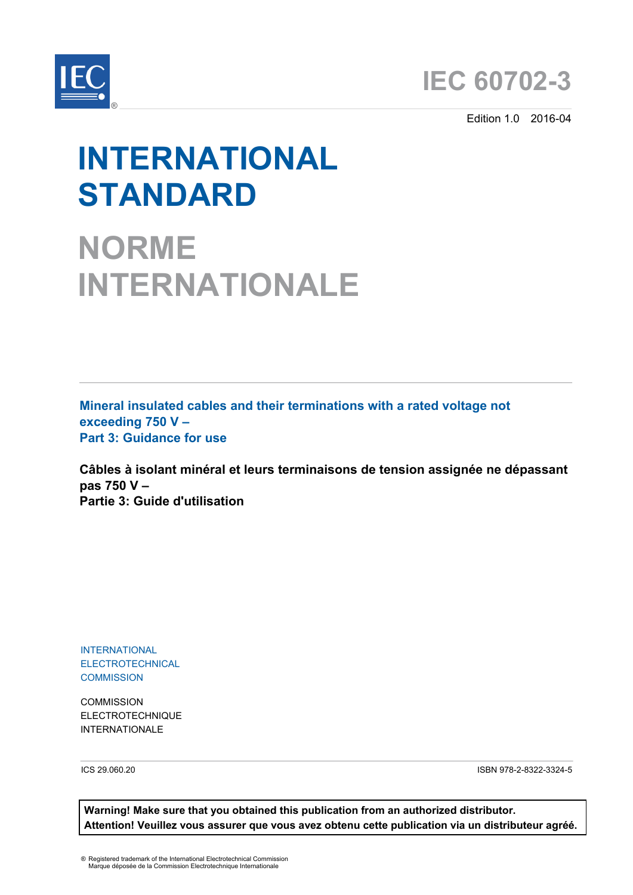



Edition 1.0 2016-04

# **INTERNATIONAL STANDARD**

**NORME INTERNATIONALE**

**Mineral insulated cables and their terminations with a rated voltage not exceeding 750 V – Part 3: Guidance for use**

**Câbles à isolant minéral et leurs terminaisons de tension assignée ne dépassant pas 750 V – Partie 3: Guide d'utilisation**

INTERNATIONAL ELECTROTECHNICAL **COMMISSION** 

**COMMISSION** ELECTROTECHNIQUE INTERNATIONALE

ICS 29.060.20 ISBN 978-2-8322-3324-5

**Warning! Make sure that you obtained this publication from an authorized distributor. Attention! Veuillez vous assurer que vous avez obtenu cette publication via un distributeur agréé.**

® Registered trademark of the International Electrotechnical Commission Marque déposée de la Commission Electrotechnique Internationale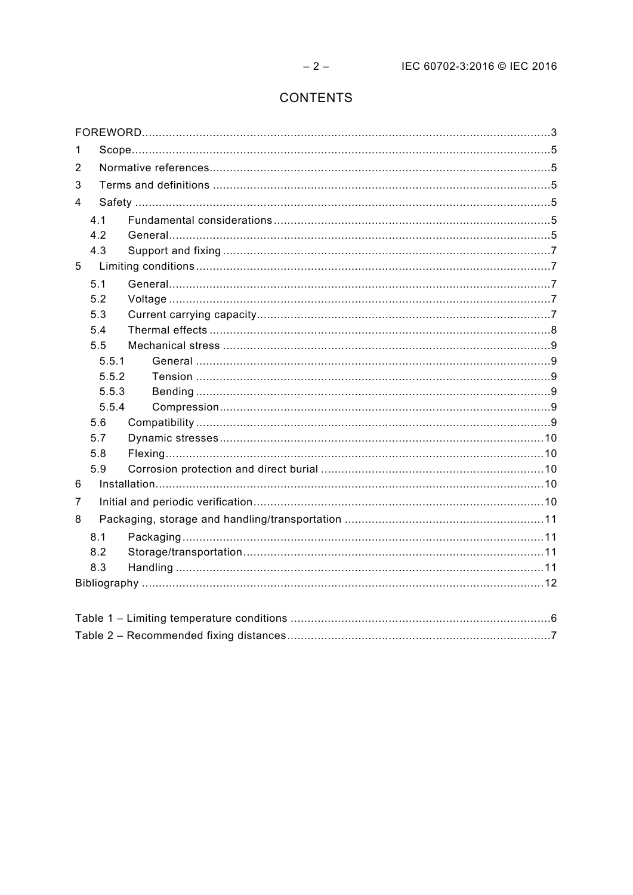# CONTENTS

| 1 |       |  |  |
|---|-------|--|--|
| 2 |       |  |  |
| 3 |       |  |  |
| 4 |       |  |  |
|   | 4.1   |  |  |
|   | 4.2   |  |  |
|   | 4.3   |  |  |
| 5 |       |  |  |
|   | 5.1   |  |  |
|   | 5.2   |  |  |
|   | 5.3   |  |  |
|   | 5.4   |  |  |
|   | 5.5   |  |  |
|   | 5.5.1 |  |  |
|   | 5.5.2 |  |  |
|   | 5.5.3 |  |  |
|   | 5.5.4 |  |  |
|   | 5.6   |  |  |
|   | 5.7   |  |  |
|   | 5.8   |  |  |
|   | 5.9   |  |  |
| 6 |       |  |  |
| 7 |       |  |  |
| 8 |       |  |  |
|   | 8.1   |  |  |
|   | 8.2   |  |  |
|   | 8.3   |  |  |
|   |       |  |  |
|   |       |  |  |
|   |       |  |  |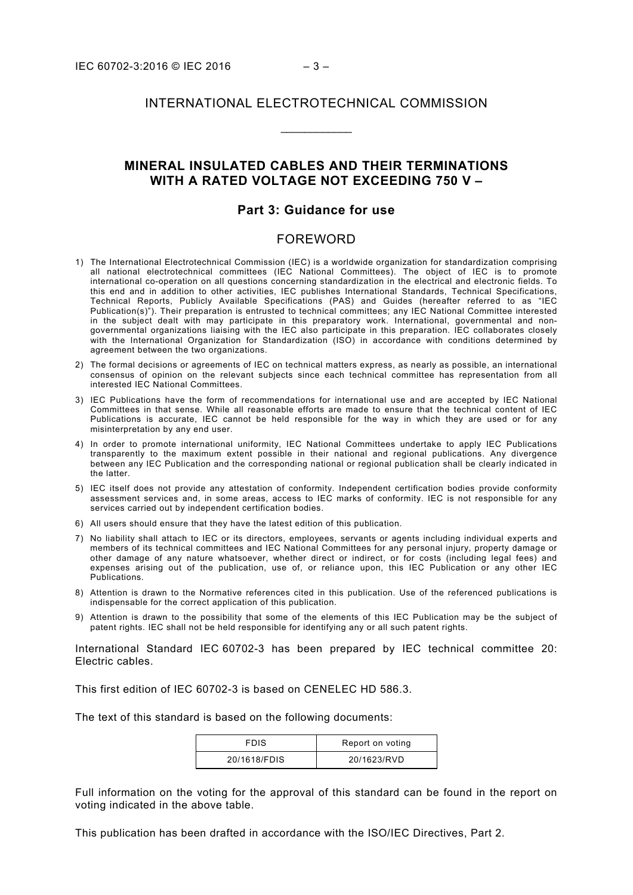# INTERNATIONAL ELECTROTECHNICAL COMMISSION

\_\_\_\_\_\_\_\_\_\_\_\_

## **MINERAL INSULATED CABLES AND THEIR TERMINATIONS WITH A RATED VOLTAGE NOT EXCEEDING 750 V –**

### **Part 3: Guidance for use**

### FOREWORD

- <span id="page-2-0"></span>1) The International Electrotechnical Commission (IEC) is a worldwide organization for standardization comprising all national electrotechnical committees (IEC National Committees). The object of IEC is to promote international co-operation on all questions concerning standardization in the electrical and electronic fields. To this end and in addition to other activities, IEC publishes International Standards, Technical Specifications, Technical Reports, Publicly Available Specifications (PAS) and Guides (hereafter referred to as "IEC Publication(s)"). Their preparation is entrusted to technical committees; any IEC National Committee interested in the subject dealt with may participate in this preparatory work. International, governmental and nongovernmental organizations liaising with the IEC also participate in this preparation. IEC collaborates closely with the International Organization for Standardization (ISO) in accordance with conditions determined by agreement between the two organizations.
- 2) The formal decisions or agreements of IEC on technical matters express, as nearly as possible, an international consensus of opinion on the relevant subjects since each technical committee has representation from all interested IEC National Committees.
- 3) IEC Publications have the form of recommendations for international use and are accepted by IEC National Committees in that sense. While all reasonable efforts are made to ensure that the technical content of IEC Publications is accurate, IEC cannot be held responsible for the way in which they are used or for any misinterpretation by any end user.
- 4) In order to promote international uniformity, IEC National Committees undertake to apply IEC Publications transparently to the maximum extent possible in their national and regional publications. Any divergence between any IEC Publication and the corresponding national or regional publication shall be clearly indicated in the latter.
- 5) IEC itself does not provide any attestation of conformity. Independent certification bodies provide conformity assessment services and, in some areas, access to IEC marks of conformity. IEC is not responsible for any services carried out by independent certification bodies.
- 6) All users should ensure that they have the latest edition of this publication.
- 7) No liability shall attach to IEC or its directors, employees, servants or agents including individual experts and members of its technical committees and IEC National Committees for any personal injury, property damage or other damage of any nature whatsoever, whether direct or indirect, or for costs (including legal fees) and expenses arising out of the publication, use of, or reliance upon, this IEC Publication or any other IEC Publications.
- 8) Attention is drawn to the Normative references cited in this publication. Use of the referenced publications is indispensable for the correct application of this publication.
- 9) Attention is drawn to the possibility that some of the elements of this IEC Publication may be the subject of patent rights. IEC shall not be held responsible for identifying any or all such patent rights.

International Standard IEC 60702-3 has been prepared by IEC technical committee 20: Electric cables.

This first edition of IEC 60702-3 is based on CENELEC HD 586.3.

The text of this standard is based on the following documents:

| <b>FDIS</b>  | Report on voting |
|--------------|------------------|
| 20/1618/FDIS | 20/1623/RVD      |

Full information on the voting for the approval of this standard can be found in the report on voting indicated in the above table.

This publication has been drafted in accordance with the ISO/IEC Directives, Part 2.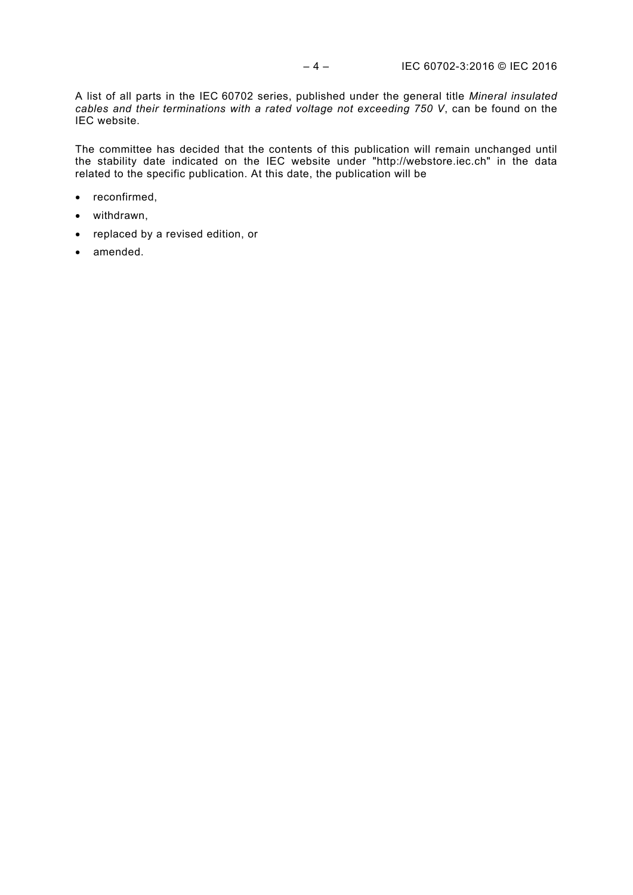A list of all parts in the IEC 60702 series, published under the general title *Mineral insulated cables and their terminations with a rated voltage not exceeding 750 V*, can be found on the IEC website.

The committee has decided that the contents of this publication will remain unchanged until the stability date indicated on the IEC website under "http://webstore.iec.ch" in the data related to the specific publication. At this date, the publication will be

- reconfirmed,
- withdrawn,
- replaced by a revised edition, or
- amended.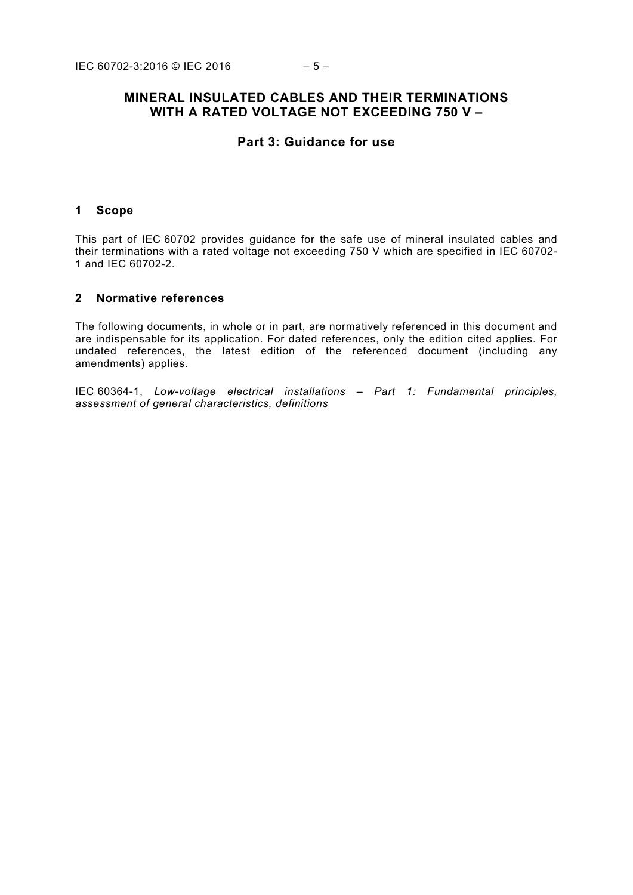# **MINERAL INSULATED CABLES AND THEIR TERMINATIONS WITH A RATED VOLTAGE NOT EXCEEDING 750 V –**

# **Part 3: Guidance for use**

#### <span id="page-4-0"></span>**1 Scope**

This part of IEC 60702 provides guidance for the safe use of mineral insulated cables and their terminations with a rated voltage not exceeding 750 V which are specified in IEC 60702- 1 and IEC 60702-2.

## <span id="page-4-1"></span>**2 Normative references**

The following documents, in whole or in part, are normatively referenced in this document and are indispensable for its application. For dated references, only the edition cited applies. For undated references, the latest edition of the referenced document (including any amendments) applies.

<span id="page-4-5"></span><span id="page-4-4"></span><span id="page-4-3"></span><span id="page-4-2"></span>IEC 60364-1, *Low-voltage electrical installations – Part 1: Fundamental principles, assessment of general characteristics, definitions*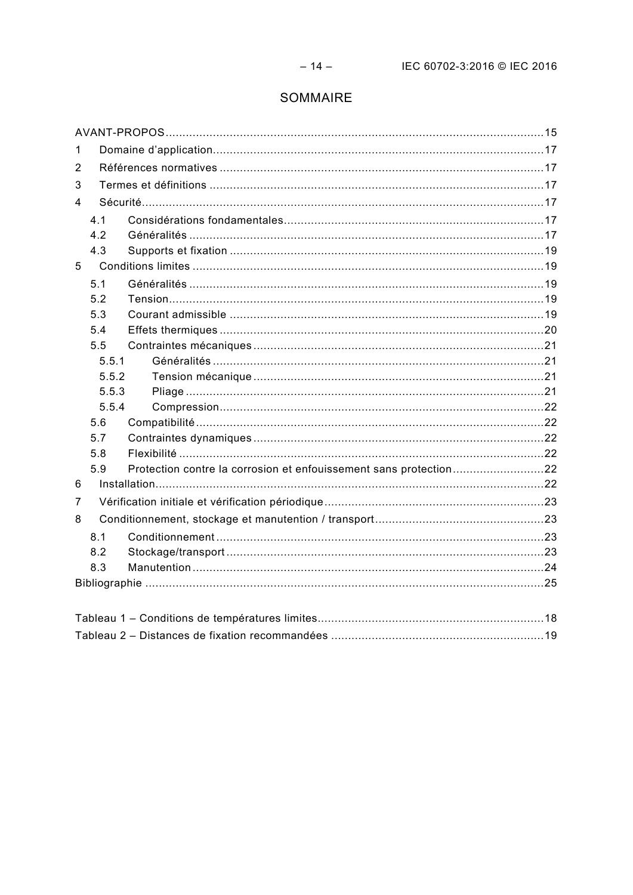# SOMMAIRE

| $\mathbf 1$ |       |                                                                   |  |
|-------------|-------|-------------------------------------------------------------------|--|
| 2           |       |                                                                   |  |
| 3           |       |                                                                   |  |
| 4           |       |                                                                   |  |
|             | 4.1   |                                                                   |  |
|             | 4.2   |                                                                   |  |
|             | 4.3   |                                                                   |  |
| 5           |       |                                                                   |  |
|             | 5.1   |                                                                   |  |
|             | 5.2   |                                                                   |  |
|             | 5.3   |                                                                   |  |
|             | 5.4   |                                                                   |  |
|             | 5.5   |                                                                   |  |
|             | 5.5.1 |                                                                   |  |
|             | 5.5.2 |                                                                   |  |
|             | 5.5.3 |                                                                   |  |
|             | 5.5.4 |                                                                   |  |
|             | 5.6   |                                                                   |  |
|             | 5.7   |                                                                   |  |
|             | 5.8   |                                                                   |  |
|             | 5.9   | Protection contre la corrosion et enfouissement sans protection22 |  |
| 6           |       |                                                                   |  |
| 7           |       |                                                                   |  |
| 8           |       |                                                                   |  |
|             | 8.1   |                                                                   |  |
|             | 8.2   |                                                                   |  |
|             | 8.3   |                                                                   |  |
|             |       |                                                                   |  |
|             |       |                                                                   |  |
|             |       |                                                                   |  |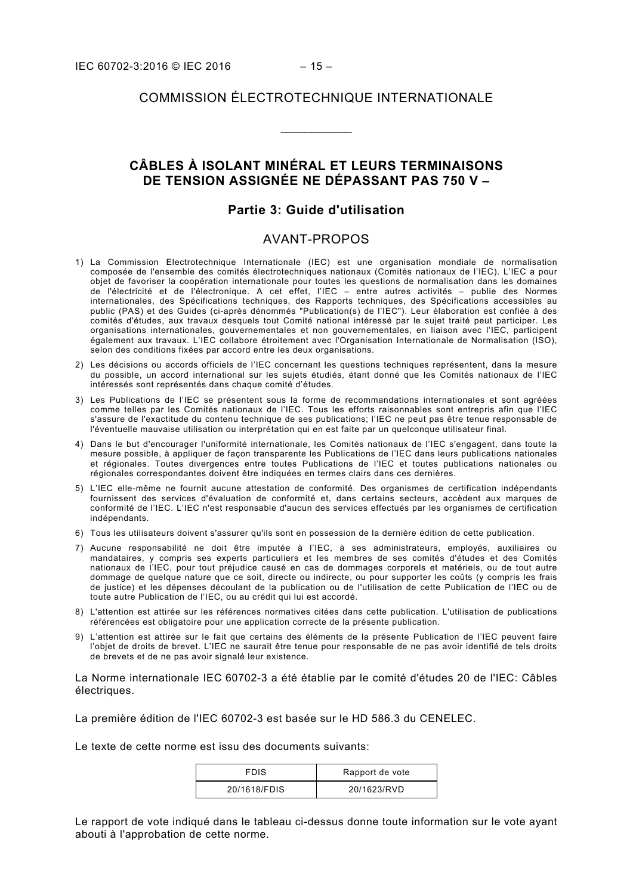# COMMISSION ÉLECTROTECHNIQUE INTERNATIONALE

\_\_\_\_\_\_\_\_\_\_\_\_

# **CÂBLES À ISOLANT MINÉRAL ET LEURS TERMINAISONS DE TENSION ASSIGNÉE NE DÉPASSANT PAS 750 V –**

## **Partie 3: Guide d'utilisation**

## AVANT-PROPOS

- <span id="page-6-0"></span>1) La Commission Electrotechnique Internationale (IEC) est une organisation mondiale de normalisation composée de l'ensemble des comités électrotechniques nationaux (Comités nationaux de l'IEC). L'IEC a pour objet de favoriser la coopération internationale pour toutes les questions de normalisation dans les domaines de l'électricité et de l'électronique. A cet effet, l'IEC – entre autres activités – publie des Normes internationales, des Spécifications techniques, des Rapports techniques, des Spécifications accessibles au public (PAS) et des Guides (ci-après dénommés "Publication(s) de l'IEC"). Leur élaboration est confiée à des comités d'études, aux travaux desquels tout Comité national intéressé par le sujet traité peut participer. Les organisations internationales, gouvernementales et non gouvernementales, en liaison avec l'IEC, participent également aux travaux. L'IEC collabore étroitement avec l'Organisation Internationale de Normalisation (ISO), selon des conditions fixées par accord entre les deux organisations.
- 2) Les décisions ou accords officiels de l'IEC concernant les questions techniques représentent, dans la mesure du possible, un accord international sur les sujets étudiés, étant donné que les Comités nationaux de l'IEC intéressés sont représentés dans chaque comité d'études.
- 3) Les Publications de l'IEC se présentent sous la forme de recommandations internationales et sont agréées comme telles par les Comités nationaux de l'IEC. Tous les efforts raisonnables sont entrepris afin que l'IEC s'assure de l'exactitude du contenu technique de ses publications; l'IEC ne peut pas être tenue responsable de l'éventuelle mauvaise utilisation ou interprétation qui en est faite par un quelconque utilisateur final.
- 4) Dans le but d'encourager l'uniformité internationale, les Comités nationaux de l'IEC s'engagent, dans toute la mesure possible, à appliquer de façon transparente les Publications de l'IEC dans leurs publications nationales et régionales. Toutes divergences entre toutes Publications de l'IEC et toutes publications nationales ou régionales correspondantes doivent être indiquées en termes clairs dans ces dernières.
- 5) L'IEC elle-même ne fournit aucune attestation de conformité. Des organismes de certification indépendants fournissent des services d'évaluation de conformité et, dans certains secteurs, accèdent aux marques de conformité de l'IEC. L'IEC n'est responsable d'aucun des services effectués par les organismes de certification indépendants.
- 6) Tous les utilisateurs doivent s'assurer qu'ils sont en possession de la dernière édition de cette publication.
- 7) Aucune responsabilité ne doit être imputée à l'IEC, à ses administrateurs, employés, auxiliaires ou mandataires, y compris ses experts particuliers et les membres de ses comités d'études et des Comités nationaux de l'IEC, pour tout préjudice causé en cas de dommages corporels et matériels, ou de tout autre dommage de quelque nature que ce soit, directe ou indirecte, ou pour supporter les coûts (y compris les frais de justice) et les dépenses découlant de la publication ou de l'utilisation de cette Publication de l'IEC ou de toute autre Publication de l'IEC, ou au crédit qui lui est accordé.
- 8) L'attention est attirée sur les références normatives citées dans cette publication. L'utilisation de publications référencées est obligatoire pour une application correcte de la présente publication.
- 9) L'attention est attirée sur le fait que certains des éléments de la présente Publication de l'IEC peuvent faire l'objet de droits de brevet. L'IEC ne saurait être tenue pour responsable de ne pas avoir identifié de tels droits de brevets et de ne pas avoir signalé leur existence.

La Norme internationale IEC 60702-3 a été établie par le comité d'études 20 de l'IEC: Câbles électriques.

La première édition de l'IEC 60702-3 est basée sur le HD 586.3 du CENELEC.

Le texte de cette norme est issu des documents suivants:

| <b>FDIS</b>  | Rapport de vote |
|--------------|-----------------|
| 20/1618/FDIS | 20/1623/RVD     |

Le rapport de vote indiqué dans le tableau ci-dessus donne toute information sur le vote ayant abouti à l'approbation de cette norme.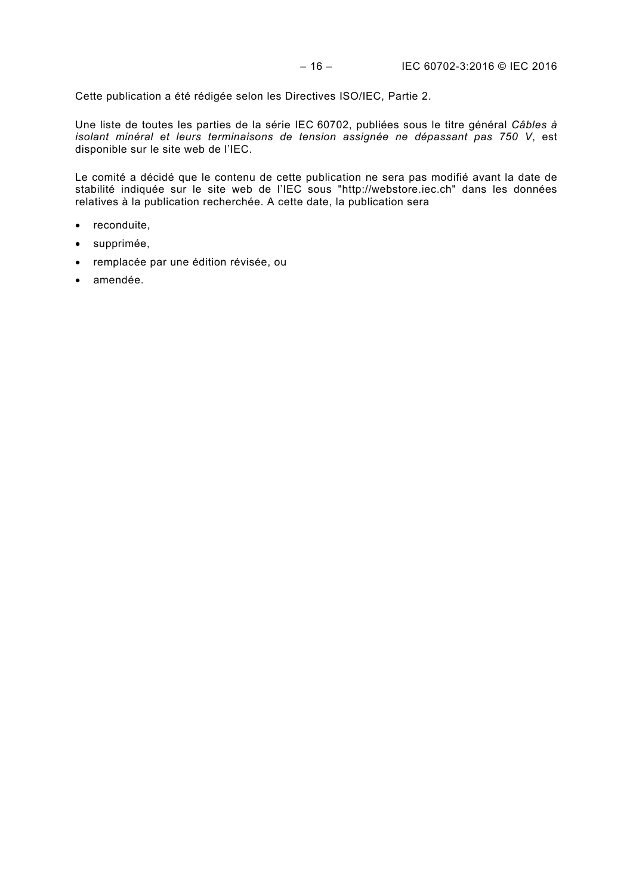Cette publication a été rédigée selon les Directives ISO/IEC, Partie 2.

Une liste de toutes les parties de la série IEC 60702, publiées sous le titre général *Câbles à isolant minéral et leurs terminaisons de tension assignée ne dépassant pas 750 V*, est disponible sur le site web de l'IEC.

Le comité a décidé que le contenu de cette publication ne sera pas modifié avant la date de stabilité indiquée sur le site web de l'IEC sous "http://webstore.iec.ch" dans les données relatives à la publication recherchée. A cette date, la publication sera

- reconduite,
- supprimée,
- remplacée par une édition révisée, ou
- amendée.